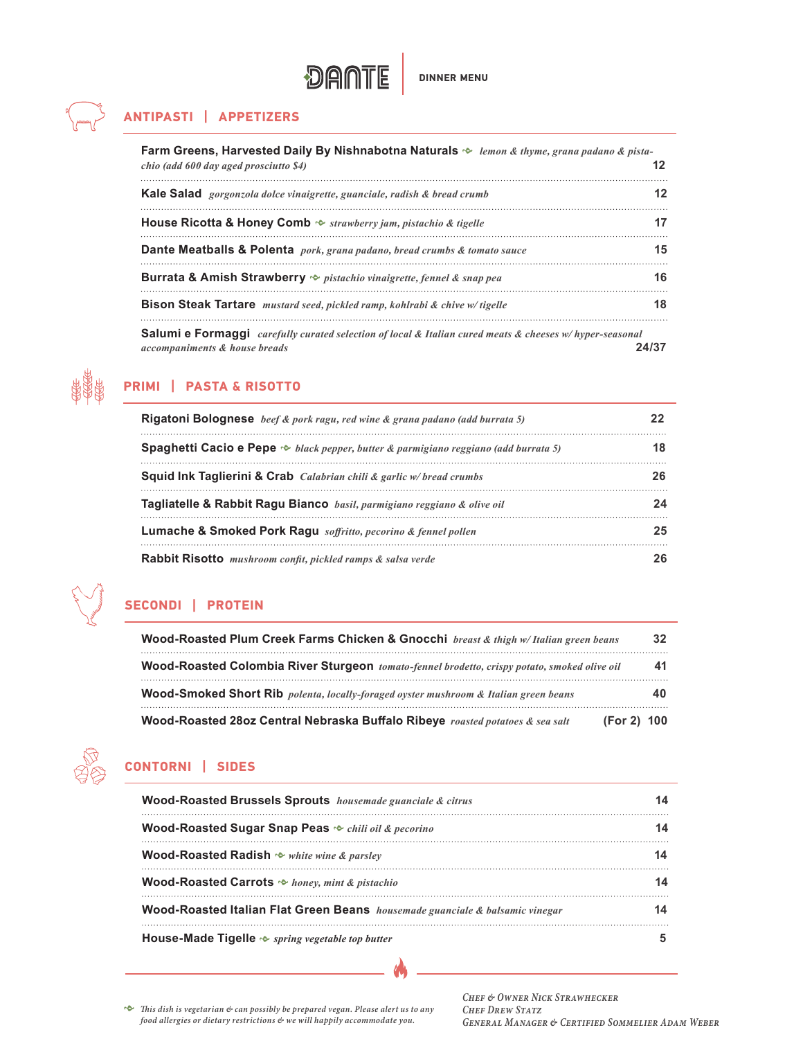

## **ANTIPASTI | APPETIZERS**

| Farm Greens, Harvested Daily By Nishnabotna Naturals $\sim$ <i>lemon &amp; thyme, grana padano &amp; pista</i> -<br>chio (add 600 day aged prosciutto \$4) |    |
|------------------------------------------------------------------------------------------------------------------------------------------------------------|----|
| Kale Salad gorgonzola dolce vinaigrette, guanciale, radish & bread crumb                                                                                   | 12 |
| <b>House Ricotta &amp; Honey Comb</b> $\sim$ strawberry jam, pistachio & tigelle                                                                           |    |
| <b>Dante Meatballs &amp; Polenta</b> pork, grana padano, bread crumbs & tomato sauce                                                                       | 15 |
| <b>Burrata &amp; Amish Strawberry</b> $\sim$ <i>pistachio vinaigrette, fennel &amp; snap pea</i>                                                           | 16 |
| <b>Bison Steak Tartare</b> mustard seed, pickled ramp, kohlrabi & chive w/tigelle                                                                          | 18 |
| <b>Salumi e Formaggi</b> carefully curated selection of local & Italian cured meats & cheeses w/hyper-seasonal                                             |    |

*accompaniments & house breads* **24/37**



## **PRIMI | PASTA & RISOTTO**

| <b>Rigatoni Bolognese</b> beef & pork ragu, red wine & grana padano (add burrata 5)             |  |
|-------------------------------------------------------------------------------------------------|--|
| <b>Spaghetti Cacio e Pepe</b> $\sim$ black pepper, butter & parmigiano reggiano (add burrata 5) |  |
| <b>Squid Ink Taglierini &amp; Crab</b> <i>Calabrian chili &amp; garlic w/ bread crumbs</i>      |  |
| Tagliatelle & Rabbit Ragu Bianco basil, parmigiano reggiano & olive oil                         |  |
| Lumache & Smoked Pork Ragu soffritto, pecorino & fennel pollen                                  |  |
| Rabbit Risotto mushroom confit, pickled ramps & salsa verde                                     |  |

# **SECONDI | PROTEIN**

| Wood-Roasted Plum Creek Farms Chicken & Gnocchi breast & thigh w/Italian green beans         |             |
|----------------------------------------------------------------------------------------------|-------------|
| Wood-Roasted Colombia River Sturgeon tomato-fennel brodetto, crispy potato, smoked olive oil |             |
| Wood-Smoked Short Rib polenta, locally-foraged oyster mushroom & Italian green beans         |             |
| Wood-Roasted 28oz Central Nebraska Buffalo Ribeye roasted potatoes & sea salt                | (For 2) 100 |



## **CONTORNI | SIDES**

| Wood-Roasted Brussels Sprouts housemade guanciale & citrus                   |  |
|------------------------------------------------------------------------------|--|
| Wood-Roasted Sugar Snap Peas $\sim$ chili oil & pecorino                     |  |
| <b>Wood-Roasted Radish <math>\sim</math> white wine &amp; parsley</b>        |  |
| <b>Wood-Roasted Carrots</b> $\Leftrightarrow$ honey, mint & pistachio        |  |
| Wood-Roasted Italian Flat Green Beans housemade guanciale & balsamic vinegar |  |
| House-Made Tigelle $\sim$ spring vegetable top butter                        |  |

*h This dish is vegetarian & can possibly be prepared vegan. Please alert us to any food allergies or dietary restrictions & we will happily accommodate you.*